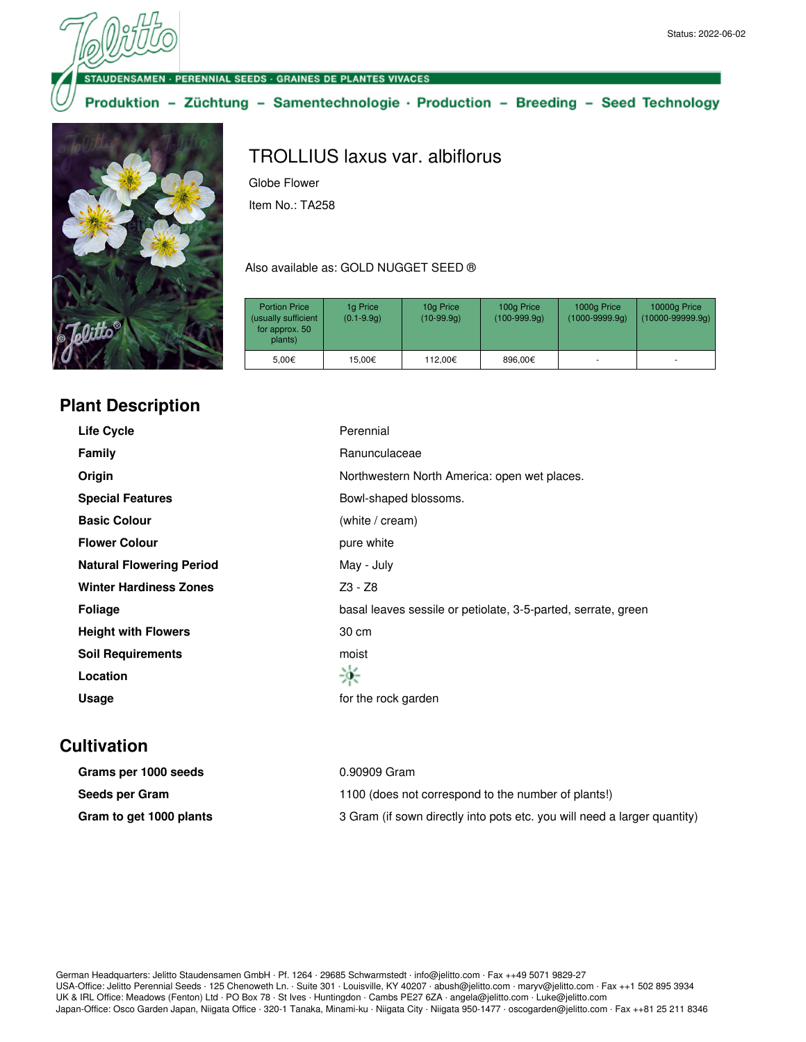ENSAMEN · PERENNIAL SEEDS · GRAINES DE PLANTES VIVACES

Produktion - Züchtung - Samentechnologie · Production - Breeding - Seed Technology



## **Plant Description**

## TROLLIUS laxus var. albiflorus

Globe Flower Item No.: TA258

## Also available as: GOLD NUGGET SEED ®

| <b>Portion Price</b><br>(usually sufficient<br>for approx. 50<br>plants) | 1g Price<br>$(0.1 - 9.9q)$ | 10g Price<br>$(10-99.9q)$ | 100g Price<br>$(100-999.9q)$ | 1000g Price<br>$(1000 - 9999.9q)$ | 10000g Price<br>$(10000-99999.9q)$ |
|--------------------------------------------------------------------------|----------------------------|---------------------------|------------------------------|-----------------------------------|------------------------------------|
| 5.00€                                                                    | 15.00€                     | 112.00€                   | 896,00€                      |                                   | ٠                                  |

| <b>Life Cycle</b>               | Perennial                                                     |
|---------------------------------|---------------------------------------------------------------|
| <b>Family</b>                   | Ranunculaceae                                                 |
| Origin                          | Northwestern North America: open wet places.                  |
| <b>Special Features</b>         | Bowl-shaped blossoms.                                         |
| <b>Basic Colour</b>             | (white / cream)                                               |
| <b>Flower Colour</b>            | pure white                                                    |
| <b>Natural Flowering Period</b> | May - July                                                    |
| <b>Winter Hardiness Zones</b>   | Z3 - Z8                                                       |
| <b>Foliage</b>                  | basal leaves sessile or petiolate, 3-5-parted, serrate, green |
| <b>Height with Flowers</b>      | 30 cm                                                         |
| <b>Soil Requirements</b>        | moist                                                         |
| Location                        | ※                                                             |
| Usage                           | for the rock garden                                           |

## **Cultivation**

| Grams per 1000 seeds    | 0.90909 Gram                                                             |
|-------------------------|--------------------------------------------------------------------------|
| Seeds per Gram          | 1100 (does not correspond to the number of plants!)                      |
| Gram to get 1000 plants | 3 Gram (if sown directly into pots etc. you will need a larger quantity) |